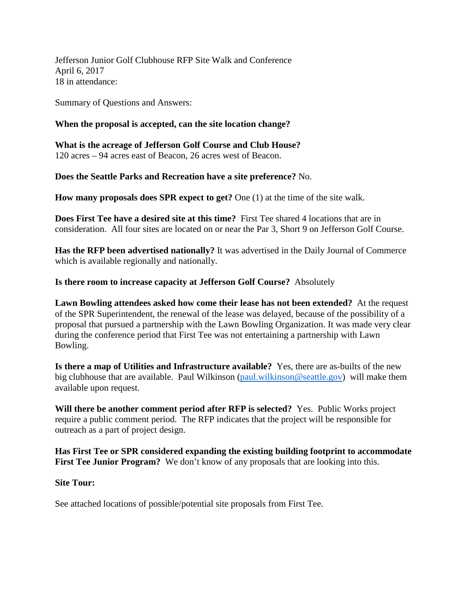Jefferson Junior Golf Clubhouse RFP Site Walk and Conference April 6, 2017 18 in attendance:

Summary of Questions and Answers:

## **When the proposal is accepted, can the site location change?**

**What is the acreage of Jefferson Golf Course and Club House?** 120 acres – 94 acres east of Beacon, 26 acres west of Beacon.

**Does the Seattle Parks and Recreation have a site preference?** No.

**How many proposals does SPR expect to get?** One (1) at the time of the site walk.

**Does First Tee have a desired site at this time?** First Tee shared 4 locations that are in consideration. All four sites are located on or near the Par 3, Short 9 on Jefferson Golf Course.

**Has the RFP been advertised nationally?** It was advertised in the Daily Journal of Commerce which is available regionally and nationally.

**Is there room to increase capacity at Jefferson Golf Course?** Absolutely

**Lawn Bowling attendees asked how come their lease has not been extended?** At the request of the SPR Superintendent, the renewal of the lease was delayed, because of the possibility of a proposal that pursued a partnership with the Lawn Bowling Organization. It was made very clear during the conference period that First Tee was not entertaining a partnership with Lawn Bowling.

**Is there a map of Utilities and Infrastructure available?** Yes, there are as-builts of the new big clubhouse that are available. Paul Wilkinson [\(paul.wilkinson@seattle.gov\)](mailto:paul.wilkinson@seattle.gov) will make them available upon request.

**Will there be another comment period after RFP is selected?** Yes. Public Works project require a public comment period. The RFP indicates that the project will be responsible for outreach as a part of project design.

**Has First Tee or SPR considered expanding the existing building footprint to accommodate First Tee Junior Program?** We don't know of any proposals that are looking into this.

## **Site Tour:**

See attached locations of possible/potential site proposals from First Tee.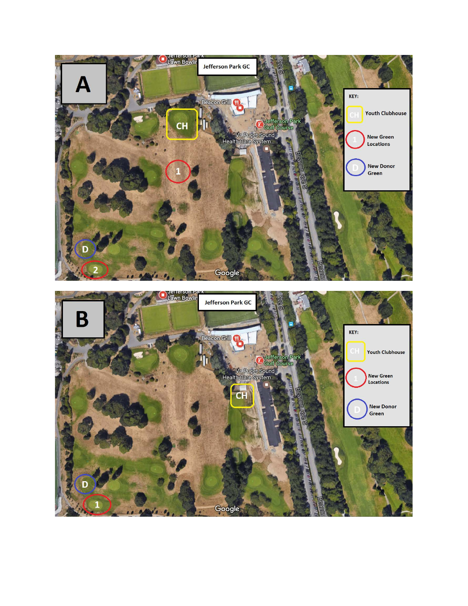